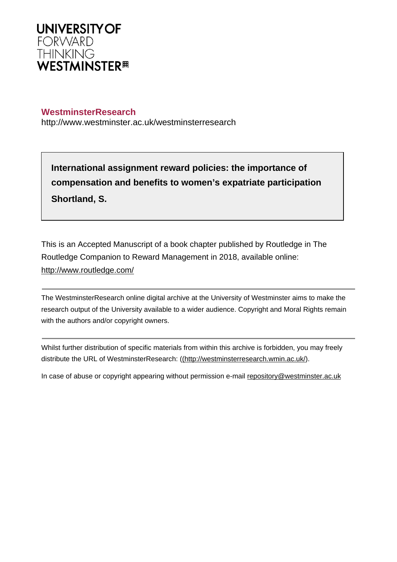

# **WestminsterResearch**

http://www.westminster.ac.uk/westminsterresearch

**International assignment reward policies: the importance of compensation and benefits to women's expatriate participation Shortland, S.**

This is an Accepted Manuscript of a book chapter published by Routledge in The Routledge Companion to Reward Management in 2018, available online: <http://www.routledge.com/>

The WestminsterResearch online digital archive at the University of Westminster aims to make the research output of the University available to a wider audience. Copyright and Moral Rights remain with the authors and/or copyright owners.

Whilst further distribution of specific materials from within this archive is forbidden, you may freely distribute the URL of WestminsterResearch: [\(\(http://westminsterresearch.wmin.ac.uk/](http://westminsterresearch.wmin.ac.uk/)).

In case of abuse or copyright appearing without permission e-mail <repository@westminster.ac.uk>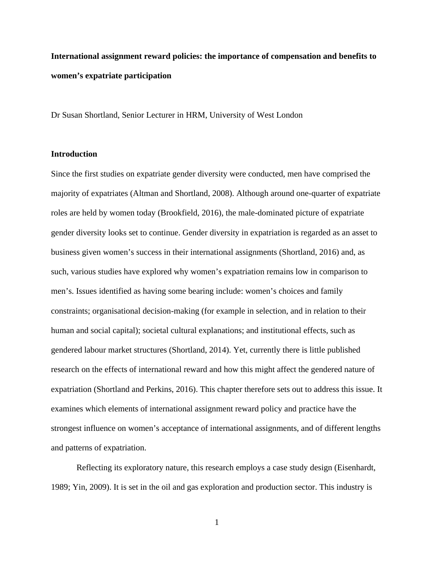# **International assignment reward policies: the importance of compensation and benefits to women's expatriate participation**

Dr Susan Shortland, Senior Lecturer in HRM, University of West London

# **Introduction**

Since the first studies on expatriate gender diversity were conducted, men have comprised the majority of expatriates (Altman and Shortland, 2008). Although around one-quarter of expatriate roles are held by women today (Brookfield, 2016), the male-dominated picture of expatriate gender diversity looks set to continue. Gender diversity in expatriation is regarded as an asset to business given women's success in their international assignments (Shortland, 2016) and, as such, various studies have explored why women's expatriation remains low in comparison to men's. Issues identified as having some bearing include: women's choices and family constraints; organisational decision-making (for example in selection, and in relation to their human and social capital); societal cultural explanations; and institutional effects, such as gendered labour market structures (Shortland, 2014). Yet, currently there is little published research on the effects of international reward and how this might affect the gendered nature of expatriation (Shortland and Perkins, 2016). This chapter therefore sets out to address this issue. It examines which elements of international assignment reward policy and practice have the strongest influence on women's acceptance of international assignments, and of different lengths and patterns of expatriation.

Reflecting its exploratory nature, this research employs a case study design (Eisenhardt, 1989; Yin, 2009). It is set in the oil and gas exploration and production sector. This industry is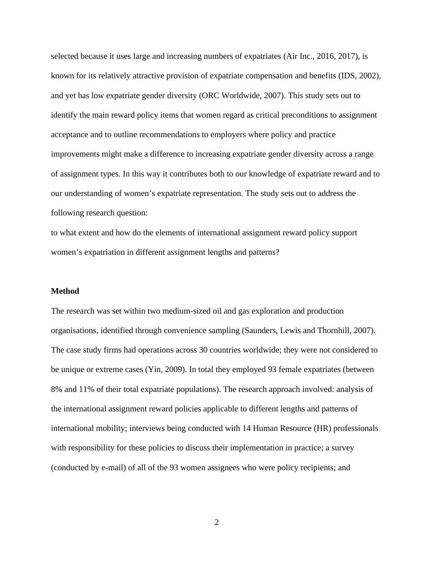selected because it uses large and increasing numbers of expatriates (Air Inc., 2016, 2017), is known for its relatively attractive provision of expatriate compensation and benefits (IDS, 2002), and yet has low expatriate gender diversity (ORC Worldwide, 2007). This study sets out to identify the main reward policy items that women regard as critical preconditions to assignment acceptance and to outline recommendations to employers where policy and practice improvements might make a difference to increasing expatriate gender diversity across a range of assignment types. In this way it contributes both to our knowledge of expatriate reward and to our understanding of women's expatriate representation. The study sets out to address the following research question:

to what extent and how do the elements of international assignment reward policy support women's expatriation in different assignment lengths and patterns?

#### **Method**

The research was set within two medium-sized oil and gas exploration and production organisations, identified through convenience sampling (Saunders, Lewis and Thornhill, 2007). The case study firms had operations across 30 countries worldwide; they were not considered to be unique or extreme cases (Yin, 2009). In total they employed 93 female expatriates (between 8% and 11% of their total expatriate populations). The research approach involved: analysis of the international assignment reward policies applicable to different lengths and patterns of international mobility; interviews being conducted with 14 Human Resource (HR) professionals with responsibility for these policies to discuss their implementation in practice; a survey (conducted by e-mail) of all of the 93 women assignees who were policy recipients; and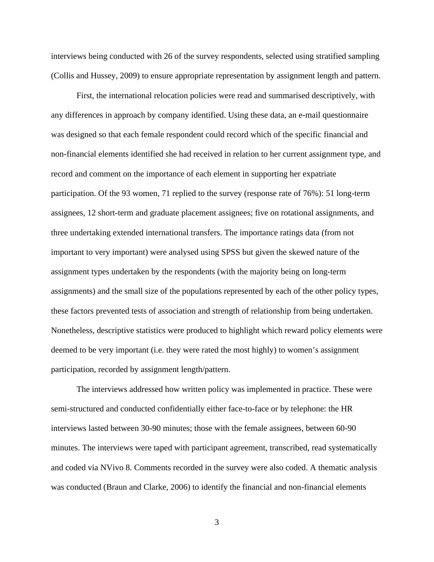interviews being conducted with 26 of the survey respondents, selected using stratified sampling (Collis and Hussey, 2009) to ensure appropriate representation by assignment length and pattern.

First, the international relocation policies were read and summarised descriptively, with any differences in approach by company identified. Using these data, an e-mail questionnaire was designed so that each female respondent could record which of the specific financial and non-financial elements identified she had received in relation to her current assignment type, and record and comment on the importance of each element in supporting her expatriate participation. Of the 93 women, 71 replied to the survey (response rate of 76%): 51 long-term assignees, 12 short-term and graduate placement assignees; five on rotational assignments, and three undertaking extended international transfers. The importance ratings data (from not important to very important) were analysed using SPSS but given the skewed nature of the assignment types undertaken by the respondents (with the majority being on long-term assignments) and the small size of the populations represented by each of the other policy types, these factors prevented tests of association and strength of relationship from being undertaken. Nonetheless, descriptive statistics were produced to highlight which reward policy elements were deemed to be very important (i.e. they were rated the most highly) to women's assignment participation, recorded by assignment length/pattern.

The interviews addressed how written policy was implemented in practice. These were semi-structured and conducted confidentially either face-to-face or by telephone: the HR interviews lasted between 30-90 minutes; those with the female assignees, between 60-90 minutes. The interviews were taped with participant agreement, transcribed, read systematically and coded via NVivo 8. Comments recorded in the survey were also coded. A thematic analysis was conducted (Braun and Clarke, 2006) to identify the financial and non-financial elements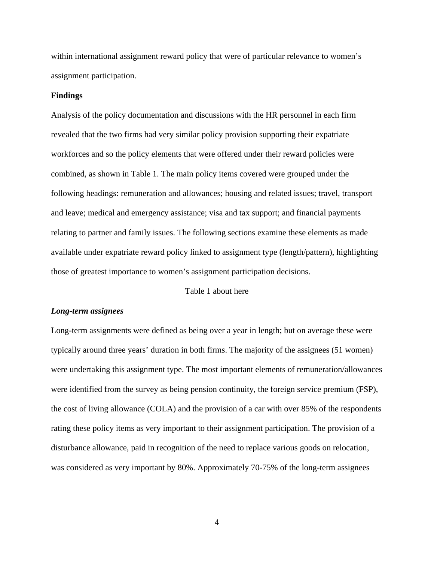within international assignment reward policy that were of particular relevance to women's assignment participation.

#### **Findings**

Analysis of the policy documentation and discussions with the HR personnel in each firm revealed that the two firms had very similar policy provision supporting their expatriate workforces and so the policy elements that were offered under their reward policies were combined, as shown in Table 1. The main policy items covered were grouped under the following headings: remuneration and allowances; housing and related issues; travel, transport and leave; medical and emergency assistance; visa and tax support; and financial payments relating to partner and family issues. The following sections examine these elements as made available under expatriate reward policy linked to assignment type (length/pattern), highlighting those of greatest importance to women's assignment participation decisions.

# Table 1 about here

#### *Long-term assignees*

Long-term assignments were defined as being over a year in length; but on average these were typically around three years' duration in both firms. The majority of the assignees (51 women) were undertaking this assignment type. The most important elements of remuneration/allowances were identified from the survey as being pension continuity, the foreign service premium (FSP), the cost of living allowance (COLA) and the provision of a car with over 85% of the respondents rating these policy items as very important to their assignment participation. The provision of a disturbance allowance, paid in recognition of the need to replace various goods on relocation, was considered as very important by 80%. Approximately 70-75% of the long-term assignees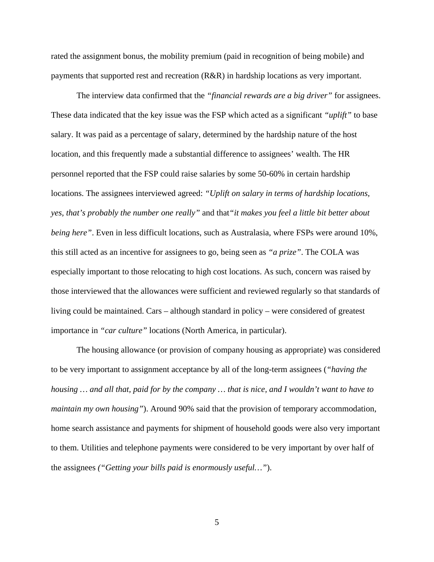rated the assignment bonus, the mobility premium (paid in recognition of being mobile) and payments that supported rest and recreation (R&R) in hardship locations as very important.

The interview data confirmed that the *"financial rewards are a big driver"* for assignees. These data indicated that the key issue was the FSP which acted as a significant *"uplift"* to base salary. It was paid as a percentage of salary, determined by the hardship nature of the host location, and this frequently made a substantial difference to assignees' wealth. The HR personnel reported that the FSP could raise salaries by some 50-60% in certain hardship locations. The assignees interviewed agreed: *"Uplift on salary in terms of hardship locations, yes, that's probably the number one really"* and that*"it makes you feel a little bit better about being here"*. Even in less difficult locations, such as Australasia, where FSPs were around 10%, this still acted as an incentive for assignees to go, being seen as *"a prize"*. The COLA was especially important to those relocating to high cost locations. As such, concern was raised by those interviewed that the allowances were sufficient and reviewed regularly so that standards of living could be maintained. Cars – although standard in policy – were considered of greatest importance in *"car culture"* locations (North America, in particular).

The housing allowance (or provision of company housing as appropriate) was considered to be very important to assignment acceptance by all of the long-term assignees (*"having the housing … and all that, paid for by the company … that is nice, and I wouldn't want to have to maintain my own housing"*). Around 90% said that the provision of temporary accommodation, home search assistance and payments for shipment of household goods were also very important to them. Utilities and telephone payments were considered to be very important by over half of the assignees *("Getting your bills paid is enormously useful…"*).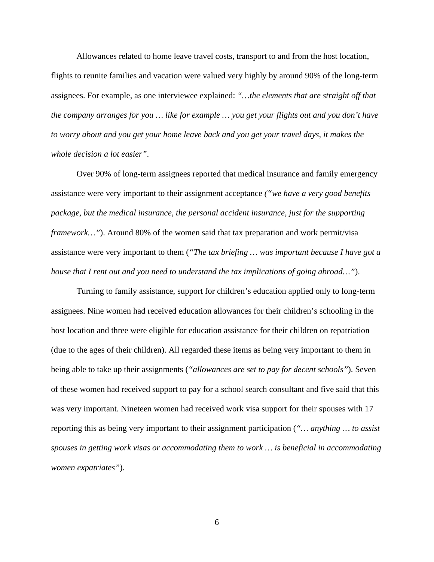Allowances related to home leave travel costs, transport to and from the host location, flights to reunite families and vacation were valued very highly by around 90% of the long-term assignees. For example, as one interviewee explained: *"…the elements that are straight off that the company arranges for you … like for example … you get your flights out and you don't have to worry about and you get your home leave back and you get your travel days, it makes the whole decision a lot easier"*.

Over 90% of long-term assignees reported that medical insurance and family emergency assistance were very important to their assignment acceptance *("we have a very good benefits package, but the medical insurance, the personal accident insurance, just for the supporting framework...*"). Around 80% of the women said that tax preparation and work permit/visa assistance were very important to them (*"The tax briefing … was important because I have got a house that I rent out and you need to understand the tax implications of going abroad…"*).

Turning to family assistance, support for children's education applied only to long-term assignees. Nine women had received education allowances for their children's schooling in the host location and three were eligible for education assistance for their children on repatriation (due to the ages of their children). All regarded these items as being very important to them in being able to take up their assignments (*"allowances are set to pay for decent schools"*). Seven of these women had received support to pay for a school search consultant and five said that this was very important. Nineteen women had received work visa support for their spouses with 17 reporting this as being very important to their assignment participation (*"… anything … to assist spouses in getting work visas or accommodating them to work … is beneficial in accommodating women expatriates"*)*.*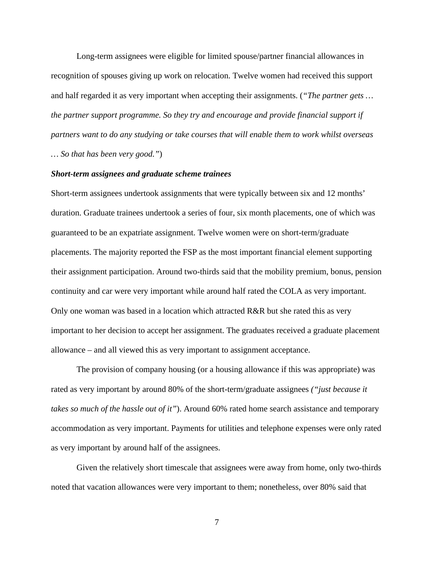Long-term assignees were eligible for limited spouse/partner financial allowances in recognition of spouses giving up work on relocation. Twelve women had received this support and half regarded it as very important when accepting their assignments. (*"The partner gets … the partner support programme. So they try and encourage and provide financial support if partners want to do any studying or take courses that will enable them to work whilst overseas* 

*… So that has been very good."*)

## *Short-term assignees and graduate scheme trainees*

Short-term assignees undertook assignments that were typically between six and 12 months' duration. Graduate trainees undertook a series of four, six month placements, one of which was guaranteed to be an expatriate assignment. Twelve women were on short-term/graduate placements. The majority reported the FSP as the most important financial element supporting their assignment participation. Around two-thirds said that the mobility premium, bonus, pension continuity and car were very important while around half rated the COLA as very important. Only one woman was based in a location which attracted R&R but she rated this as very important to her decision to accept her assignment. The graduates received a graduate placement allowance – and all viewed this as very important to assignment acceptance.

The provision of company housing (or a housing allowance if this was appropriate) was rated as very important by around 80% of the short-term/graduate assignees *("just because it takes so much of the hassle out of it"*). Around 60% rated home search assistance and temporary accommodation as very important. Payments for utilities and telephone expenses were only rated as very important by around half of the assignees.

Given the relatively short timescale that assignees were away from home, only two-thirds noted that vacation allowances were very important to them; nonetheless, over 80% said that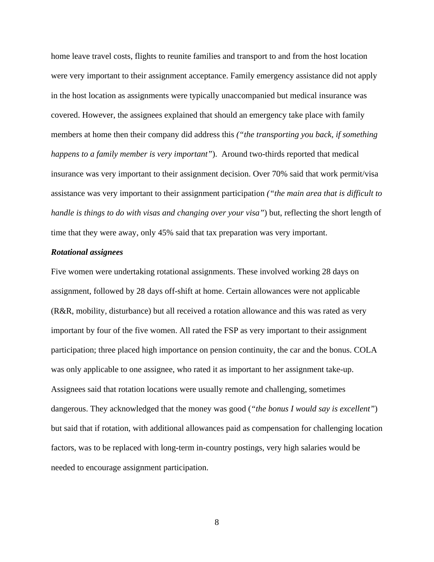home leave travel costs, flights to reunite families and transport to and from the host location were very important to their assignment acceptance. Family emergency assistance did not apply in the host location as assignments were typically unaccompanied but medical insurance was covered. However, the assignees explained that should an emergency take place with family members at home then their company did address this *("the transporting you back, if something happens to a family member is very important"*). Around two-thirds reported that medical insurance was very important to their assignment decision. Over 70% said that work permit/visa assistance was very important to their assignment participation *("the main area that is difficult to handle is things to do with visas and changing over your visa"*) but, reflecting the short length of time that they were away, only 45% said that tax preparation was very important.

# *Rotational assignees*

Five women were undertaking rotational assignments. These involved working 28 days on assignment, followed by 28 days off-shift at home. Certain allowances were not applicable (R&R, mobility, disturbance) but all received a rotation allowance and this was rated as very important by four of the five women. All rated the FSP as very important to their assignment participation; three placed high importance on pension continuity, the car and the bonus. COLA was only applicable to one assignee, who rated it as important to her assignment take-up. Assignees said that rotation locations were usually remote and challenging, sometimes dangerous. They acknowledged that the money was good (*"the bonus I would say is excellent"*) but said that if rotation, with additional allowances paid as compensation for challenging location factors, was to be replaced with long-term in-country postings, very high salaries would be needed to encourage assignment participation.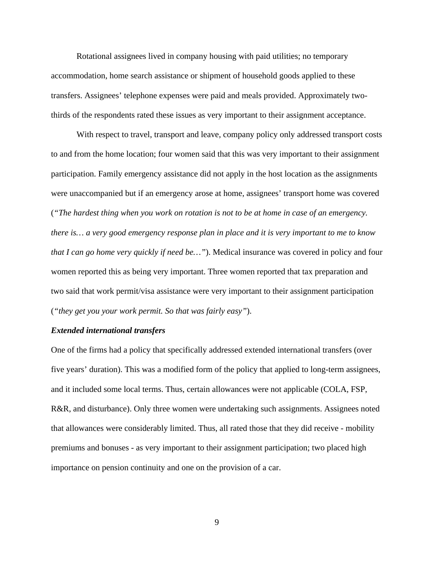Rotational assignees lived in company housing with paid utilities; no temporary accommodation, home search assistance or shipment of household goods applied to these transfers. Assignees' telephone expenses were paid and meals provided. Approximately twothirds of the respondents rated these issues as very important to their assignment acceptance.

With respect to travel, transport and leave, company policy only addressed transport costs to and from the home location; four women said that this was very important to their assignment participation. Family emergency assistance did not apply in the host location as the assignments were unaccompanied but if an emergency arose at home, assignees' transport home was covered (*"The hardest thing when you work on rotation is not to be at home in case of an emergency. there is… a very good emergency response plan in place and it is very important to me to know that I can go home very quickly if need be…"*). Medical insurance was covered in policy and four women reported this as being very important. Three women reported that tax preparation and two said that work permit/visa assistance were very important to their assignment participation (*"they get you your work permit. So that was fairly easy"*).

#### *Extended international transfers*

One of the firms had a policy that specifically addressed extended international transfers (over five years' duration). This was a modified form of the policy that applied to long-term assignees, and it included some local terms. Thus, certain allowances were not applicable (COLA, FSP, R&R, and disturbance). Only three women were undertaking such assignments. Assignees noted that allowances were considerably limited. Thus, all rated those that they did receive - mobility premiums and bonuses - as very important to their assignment participation; two placed high importance on pension continuity and one on the provision of a car.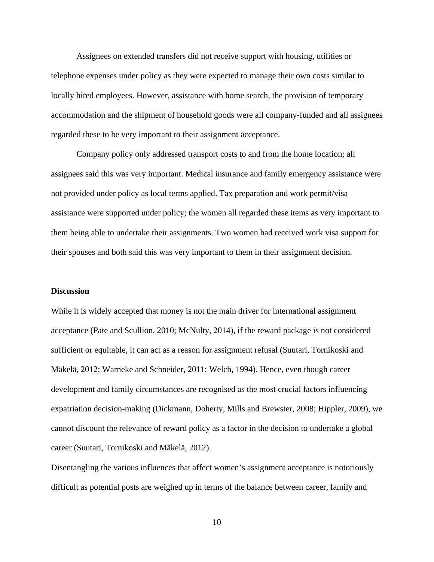Assignees on extended transfers did not receive support with housing, utilities or telephone expenses under policy as they were expected to manage their own costs similar to locally hired employees. However, assistance with home search, the provision of temporary accommodation and the shipment of household goods were all company-funded and all assignees regarded these to be very important to their assignment acceptance.

Company policy only addressed transport costs to and from the home location; all assignees said this was very important. Medical insurance and family emergency assistance were not provided under policy as local terms applied. Tax preparation and work permit/visa assistance were supported under policy; the women all regarded these items as very important to them being able to undertake their assignments. Two women had received work visa support for their spouses and both said this was very important to them in their assignment decision.

#### **Discussion**

While it is widely accepted that money is not the main driver for international assignment acceptance (Pate and Scullion, 2010; McNulty, 2014), if the reward package is not considered sufficient or equitable, it can act as a reason for assignment refusal (Suutari, Tornikoski and Mäkelä, 2012; Warneke and Schneider, 2011; Welch, 1994). Hence, even though career development and family circumstances are recognised as the most crucial factors influencing expatriation decision-making (Dickmann, Doherty, Mills and Brewster, 2008; Hippler, 2009), we cannot discount the relevance of reward policy as a factor in the decision to undertake a global career (Suutari, Tornikoski and Mäkelä, 2012).

Disentangling the various influences that affect women's assignment acceptance is notoriously difficult as potential posts are weighed up in terms of the balance between career, family and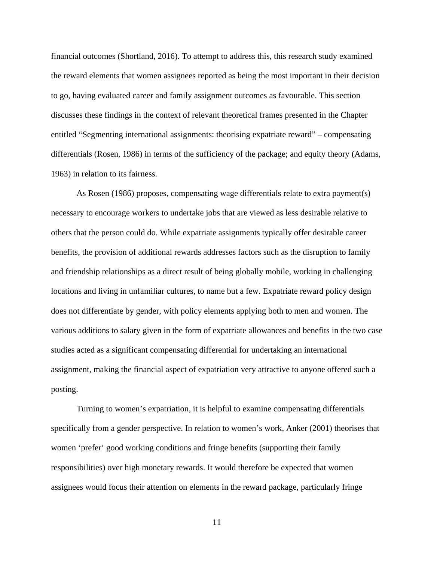financial outcomes (Shortland, 2016). To attempt to address this, this research study examined the reward elements that women assignees reported as being the most important in their decision to go, having evaluated career and family assignment outcomes as favourable. This section discusses these findings in the context of relevant theoretical frames presented in the Chapter entitled "Segmenting international assignments: theorising expatriate reward" – compensating differentials (Rosen, 1986) in terms of the sufficiency of the package; and equity theory (Adams, 1963) in relation to its fairness.

As Rosen (1986) proposes, compensating wage differentials relate to extra payment(s) necessary to encourage workers to undertake jobs that are viewed as less desirable relative to others that the person could do. While expatriate assignments typically offer desirable career benefits, the provision of additional rewards addresses factors such as the disruption to family and friendship relationships as a direct result of being globally mobile, working in challenging locations and living in unfamiliar cultures, to name but a few. Expatriate reward policy design does not differentiate by gender, with policy elements applying both to men and women. The various additions to salary given in the form of expatriate allowances and benefits in the two case studies acted as a significant compensating differential for undertaking an international assignment, making the financial aspect of expatriation very attractive to anyone offered such a posting.

Turning to women's expatriation, it is helpful to examine compensating differentials specifically from a gender perspective. In relation to women's work, Anker (2001) theorises that women 'prefer' good working conditions and fringe benefits (supporting their family responsibilities) over high monetary rewards. It would therefore be expected that women assignees would focus their attention on elements in the reward package, particularly fringe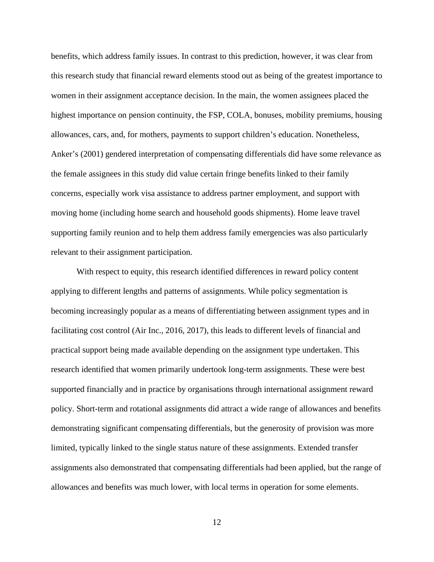benefits, which address family issues. In contrast to this prediction, however, it was clear from this research study that financial reward elements stood out as being of the greatest importance to women in their assignment acceptance decision. In the main, the women assignees placed the highest importance on pension continuity, the FSP, COLA, bonuses, mobility premiums, housing allowances, cars, and, for mothers, payments to support children's education. Nonetheless, Anker's (2001) gendered interpretation of compensating differentials did have some relevance as the female assignees in this study did value certain fringe benefits linked to their family concerns, especially work visa assistance to address partner employment, and support with moving home (including home search and household goods shipments). Home leave travel supporting family reunion and to help them address family emergencies was also particularly relevant to their assignment participation.

With respect to equity, this research identified differences in reward policy content applying to different lengths and patterns of assignments. While policy segmentation is becoming increasingly popular as a means of differentiating between assignment types and in facilitating cost control (Air Inc., 2016, 2017), this leads to different levels of financial and practical support being made available depending on the assignment type undertaken. This research identified that women primarily undertook long-term assignments. These were best supported financially and in practice by organisations through international assignment reward policy. Short-term and rotational assignments did attract a wide range of allowances and benefits demonstrating significant compensating differentials, but the generosity of provision was more limited, typically linked to the single status nature of these assignments. Extended transfer assignments also demonstrated that compensating differentials had been applied, but the range of allowances and benefits was much lower, with local terms in operation for some elements.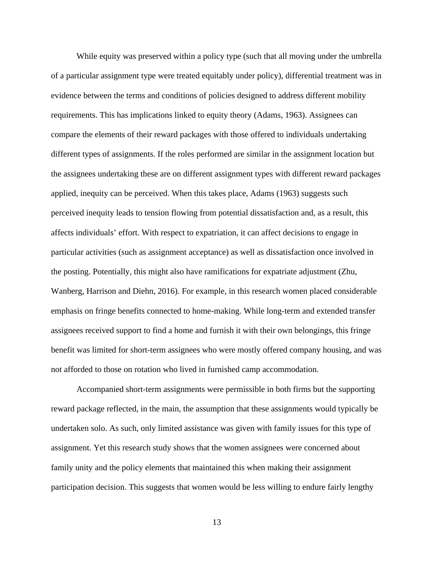While equity was preserved within a policy type (such that all moving under the umbrella of a particular assignment type were treated equitably under policy), differential treatment was in evidence between the terms and conditions of policies designed to address different mobility requirements. This has implications linked to equity theory (Adams, 1963). Assignees can compare the elements of their reward packages with those offered to individuals undertaking different types of assignments. If the roles performed are similar in the assignment location but the assignees undertaking these are on different assignment types with different reward packages applied, inequity can be perceived. When this takes place, Adams (1963) suggests such perceived inequity leads to tension flowing from potential dissatisfaction and, as a result, this affects individuals' effort. With respect to expatriation, it can affect decisions to engage in particular activities (such as assignment acceptance) as well as dissatisfaction once involved in the posting. Potentially, this might also have ramifications for expatriate adjustment (Zhu, Wanberg, Harrison and Diehn, 2016). For example, in this research women placed considerable emphasis on fringe benefits connected to home-making. While long-term and extended transfer assignees received support to find a home and furnish it with their own belongings, this fringe benefit was limited for short-term assignees who were mostly offered company housing, and was not afforded to those on rotation who lived in furnished camp accommodation.

Accompanied short-term assignments were permissible in both firms but the supporting reward package reflected, in the main, the assumption that these assignments would typically be undertaken solo. As such, only limited assistance was given with family issues for this type of assignment. Yet this research study shows that the women assignees were concerned about family unity and the policy elements that maintained this when making their assignment participation decision. This suggests that women would be less willing to endure fairly lengthy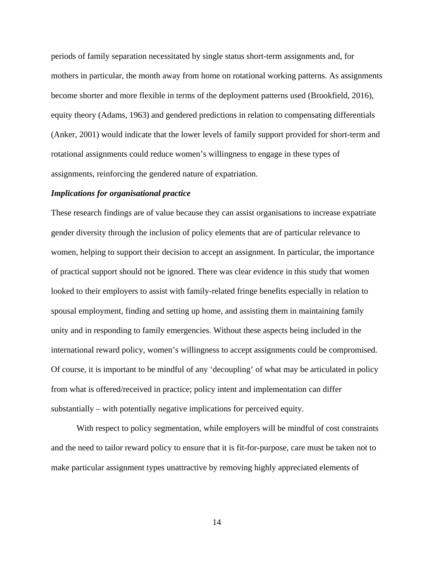periods of family separation necessitated by single status short-term assignments and, for mothers in particular, the month away from home on rotational working patterns. As assignments become shorter and more flexible in terms of the deployment patterns used (Brookfield, 2016), equity theory (Adams, 1963) and gendered predictions in relation to compensating differentials (Anker, 2001) would indicate that the lower levels of family support provided for short-term and rotational assignments could reduce women's willingness to engage in these types of assignments, reinforcing the gendered nature of expatriation.

### *Implications for organisational practice*

These research findings are of value because they can assist organisations to increase expatriate gender diversity through the inclusion of policy elements that are of particular relevance to women, helping to support their decision to accept an assignment. In particular, the importance of practical support should not be ignored. There was clear evidence in this study that women looked to their employers to assist with family-related fringe benefits especially in relation to spousal employment, finding and setting up home, and assisting them in maintaining family unity and in responding to family emergencies. Without these aspects being included in the international reward policy, women's willingness to accept assignments could be compromised. Of course, it is important to be mindful of any 'decoupling' of what may be articulated in policy from what is offered/received in practice; policy intent and implementation can differ substantially – with potentially negative implications for perceived equity.

With respect to policy segmentation, while employers will be mindful of cost constraints and the need to tailor reward policy to ensure that it is fit-for-purpose, care must be taken not to make particular assignment types unattractive by removing highly appreciated elements of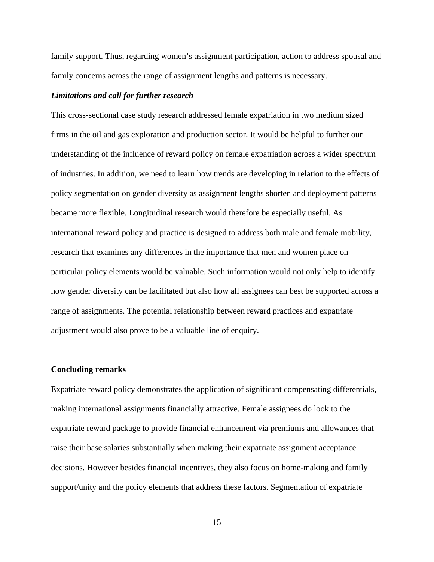family support. Thus, regarding women's assignment participation, action to address spousal and family concerns across the range of assignment lengths and patterns is necessary.

#### *Limitations and call for further research*

This cross-sectional case study research addressed female expatriation in two medium sized firms in the oil and gas exploration and production sector. It would be helpful to further our understanding of the influence of reward policy on female expatriation across a wider spectrum of industries. In addition, we need to learn how trends are developing in relation to the effects of policy segmentation on gender diversity as assignment lengths shorten and deployment patterns became more flexible. Longitudinal research would therefore be especially useful. As international reward policy and practice is designed to address both male and female mobility, research that examines any differences in the importance that men and women place on particular policy elements would be valuable. Such information would not only help to identify how gender diversity can be facilitated but also how all assignees can best be supported across a range of assignments. The potential relationship between reward practices and expatriate adjustment would also prove to be a valuable line of enquiry.

### **Concluding remarks**

Expatriate reward policy demonstrates the application of significant compensating differentials, making international assignments financially attractive. Female assignees do look to the expatriate reward package to provide financial enhancement via premiums and allowances that raise their base salaries substantially when making their expatriate assignment acceptance decisions. However besides financial incentives, they also focus on home-making and family support/unity and the policy elements that address these factors. Segmentation of expatriate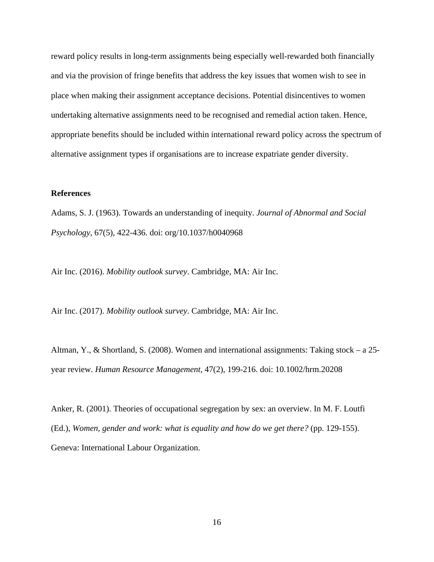reward policy results in long-term assignments being especially well-rewarded both financially and via the provision of fringe benefits that address the key issues that women wish to see in place when making their assignment acceptance decisions. Potential disincentives to women undertaking alternative assignments need to be recognised and remedial action taken. Hence, appropriate benefits should be included within international reward policy across the spectrum of alternative assignment types if organisations are to increase expatriate gender diversity.

# **References**

Adams, S. J. (1963). Towards an understanding of inequity. *Journal of Abnormal and Social Psychology*, 67(5), 422-436. doi: org/10.1037/h0040968

Air Inc. (2016). *Mobility outlook survey*. Cambridge, MA: Air Inc.

Air Inc. (2017). *Mobility outlook survey*. Cambridge, MA: Air Inc.

Altman, Y., & Shortland, S. (2008). Women and international assignments: Taking stock – a 25 year review. *Human Resource Management*, 47(2), 199-216. doi: 10.1002/hrm.20208

Anker, R. (2001). Theories of occupational segregation by sex: an overview. In M. F. Loutfi (Ed.), *Women, gender and work: what is equality and how do we get there?* (pp. 129-155). Geneva: International Labour Organization.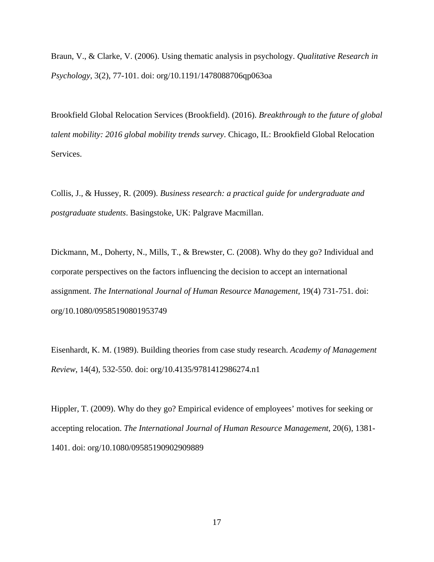Braun, V., & Clarke, V. (2006). Using thematic analysis in psychology. *Qualitative Research in Psychology*, 3(2), 77-101. doi: org/10.1191/1478088706qp063oa

Brookfield Global Relocation Services (Brookfield). (2016). *Breakthrough to the future of global talent mobility: 2016 global mobility trends survey*. Chicago, IL: Brookfield Global Relocation Services.

Collis, J., & Hussey, R. (2009). *Business research: a practical guide for undergraduate and postgraduate students*. Basingstoke, UK: Palgrave Macmillan.

Dickmann, M., Doherty, N., Mills, T., & Brewster, C. (2008). Why do they go? Individual and corporate perspectives on the factors influencing the decision to accept an international assignment. *The International Journal of Human Resource Management*, 19(4) 731-751. doi: [org/10.1080/09585190801953749](http://dx.doi.org/10.1080/09585190801953749)

Eisenhardt, K. M. (1989). Building theories from case study research. *Academy of Management Review*, 14(4), 532-550. doi: org/10.4135/9781412986274.n1

Hippler, T. (2009). Why do they go? Empirical evidence of employees' motives for seeking or accepting relocation. *The International Journal of Human Resource Management*, 20(6), 1381- 1401. doi: [org/10.1080/09585190902909889](http://dx.doi.org/10.1080/09585190902909889)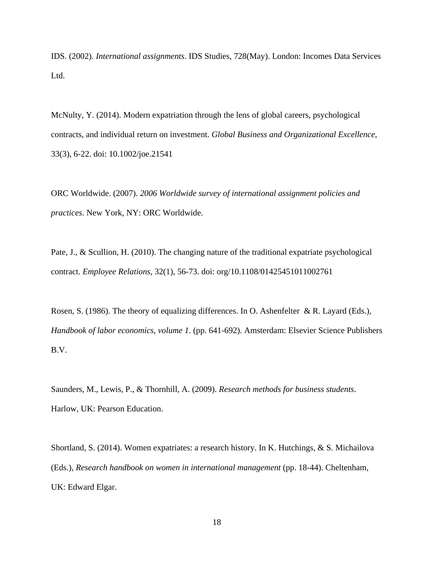IDS. (2002). *International assignments*. IDS Studies, 728(May). London: Incomes Data Services Ltd.

McNulty, Y. (2014). Modern expatriation through the lens of global careers, psychological contracts, and individual return on investment. *Global Business and Organizational Excellence*, 33(3), 6-22. doi: 10.1002/joe.21541

ORC Worldwide. (2007). *2006 Worldwide survey of international assignment policies and practices*. New York, NY: ORC Worldwide.

Pate, J., & Scullion, H. (2010). The changing nature of the traditional expatriate psychological contract. *Employee Relations*, 32(1), 56-73. doi: [org/10.1108/01425451011002761](http://dx.doi.org/10.1108/01425451011002761)

Rosen, S. (1986). The theory of equalizing differences. In O. Ashenfelter & R. Layard (Eds.), *Handbook of labor economics, volume 1*. (pp. 641-692). Amsterdam: Elsevier Science Publishers B.V.

Saunders, M., Lewis, P., & Thornhill, A. (2009). *Research methods for business students*. Harlow, UK: Pearson Education.

Shortland, S. (2014). Women expatriates: a research history. In K. Hutchings, & S. Michailova (Eds.), *Research handbook on women in international management* (pp. 18-44). Cheltenham, UK: Edward Elgar.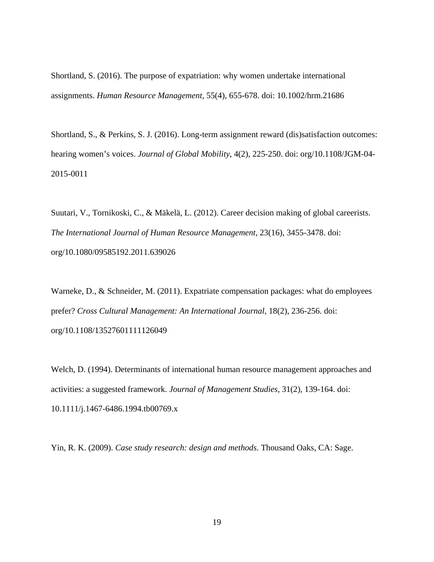Shortland, S. (2016). The purpose of expatriation: why women undertake international assignments. *Human Resource Management*, 55(4), 655-678. doi: 10.1002/hrm.21686

Shortland, S., & Perkins, S. J. (2016). Long-term assignment reward (dis)satisfaction outcomes: hearing women's voices. *Journal of Global Mobility*, 4(2), 225-250. doi: [org/10.1108/JGM-04-](http://dx.doi.org/10.1108/JGM-04-2015-0011) [2015-0011](http://dx.doi.org/10.1108/JGM-04-2015-0011)

Suutari, V., Tornikoski, C., & Mäkelä, L. (2012). Career decision making of global careerists. *The International Journal of Human Resource Management*, 23(16), 3455-3478. doi: [org/10.1080/09585192.2011.639026](http://dx.doi.org/10.1080/09585192.2011.639026)

Warneke, D., & Schneider, M. (2011). Expatriate compensation packages: what do employees prefer? *Cross Cultural Management: An International Journal*, 18(2), 236-256. doi: [org/10.1108/13527601111126049](http://dx.doi.org/10.1108/13527601111126049)

Welch, D. (1994). Determinants of international human resource management approaches and activities: a suggested framework. *Journal of Management Studies*, 31(2), 139-164. doi: 10.1111/j.1467-6486.1994.tb00769.x

Yin, R. K. (2009). *Case study research: design and methods*. Thousand Oaks, CA: Sage.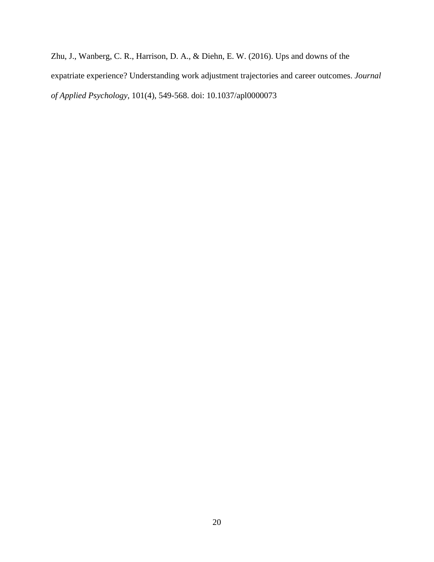Zhu, J., Wanberg, C. R., Harrison, D. A., & Diehn, E. W. (2016). Ups and downs of the expatriate experience? Understanding work adjustment trajectories and career outcomes. *Journal of Applied Psychology*, 101(4), 549-568. doi: [10.1037/apl0000073](https://doi.org/10.1037/apl0000073)